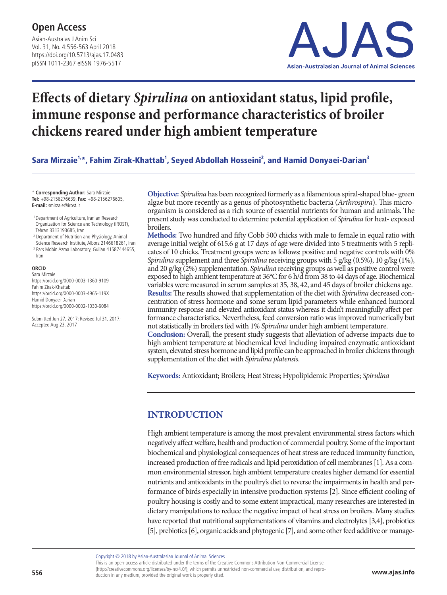Asian-Australas J Anim Sci Vol. 31, No. 4:556-563 April 2018 https://doi.org/10.5713/ajas.17.0483 pISSN 1011-2367 eISSN 1976-5517



# **Effects of dietary** *Spirulina* **on antioxidant status, lipid profile, immune response and performance characteristics of broiler chickens reared under high ambient temperature**

Sara Mirzaie<sup>1,</sup>\*, Fahim Zirak-Khattab<sup>1</sup>, Seyed Abdollah Hosseini<sup>2</sup>, and Hamid Donyaei-Darian<sup>3</sup>

\* **Corresponding Author:** Sara Mirzaie **Tel:** +98-2156276639, **Fax:** +98-2156276605, **E-mail:** smirzaie@irost.ir

- 1 Department of Agriculture, Iranian Research Organization for Science and Technology (IROST), Tehran 3313193685, Iran
- <sup>2</sup> Department of Nutrition and Physiology, Animal
- Science Research Institute, Alborz 2146618261, Iran
- <sup>3</sup> Pars Mobin Azma Laboratory, Guilan 41587444655, Iran

#### **ORCID**

Sara Mirzaie https://orcid.org/0000-0003-1360-9109 Fahim Zirak-Khattab https://orcid.org/0000-0003-4965-119X Hamid Donyaei-Darian https://orcid.org/0000-0002-1030-6084

Submitted Jun 27, 2017; Revised Jul 31, 2017; Accepted Aug 23, 2017

**Objective:** *Spirulina* has been recognized formerly as a filamentous spiral-shaped blue- green algae but more recently as a genus of photosynthetic bacteria (*Arthrospira*). This microorganism is considered as a rich source of essential nutrients for human and animals. The present study was conducted to determine potential application of *Spirulina* for heat- exposed broilers.

**Methods:** Two hundred and fifty Cobb 500 chicks with male to female in equal ratio with average initial weight of 615.6 g at 17 days of age were divided into 5 treatments with 5 replicates of 10 chicks. Treatment groups were as follows: positive and negative controls with 0% *Spirulina* supplement and three *Spirulina* receiving groups with 5 g/kg (0.5%), 10 g/kg (1%), and 20 g/kg (2%) supplementation. *Spirulina* receiving groups as well as positive control were exposed to high ambient temperature at 36°C for 6 h/d from 38 to 44 days of age. Biochemical variables were measured in serum samples at 35, 38, 42, and 45 days of broiler chickens age. **Results:** The results showed that supplementation of the diet with *Spirulina* decreased concentration of stress hormone and some serum lipid parameters while enhanced humoral immunity response and elevated antioxidant status whereas it didn't meaningfully affect performance characteristics. Nevertheless, feed conversion ratio was improved numerically but not statistically in broilers fed with 1% *Spirulina* under high ambient temperature. **Conclusion:** Overall, the present study suggests that alleviation of adverse impacts due to high ambient temperature at biochemical level including impaired enzymatic antioxidant system, elevated stress hormone and lipid profile can be approached in broiler chickens through supplementation of the diet with *Spirulina platensis*.

**Keywords:** Antioxidant; Broilers; Heat Stress; Hypolipidemic Properties; *Spirulina* 

## **INTRODUCTION**

High ambient temperature is among the most prevalent environmental stress factors which negatively affect welfare, health and production of commercial poultry. Some of the important biochemical and physiological consequences of heat stress are reduced immunity function, increased production of free radicals and lipid peroxidation of cell membranes [1]. As a common environmental stressor, high ambient temperature creates higher demand for essential nutrients and antioxidants in the poultry's diet to reverse the impairments in health and performance of birds especially in intensive production systems [2]. Since efficient cooling of poultry housing is costly and to some extent impractical, many researches are interested in dietary manipulations to reduce the negative impact of heat stress on broilers. Many studies have reported that nutritional supplementations of vitamins and electrolytes [3,4], probiotics [5], prebiotics [6], organic acids and phytogenic [7], and some other feed additive or manage-

Copyright © 2018 by Asian-Australasian Journal of Animal Sciences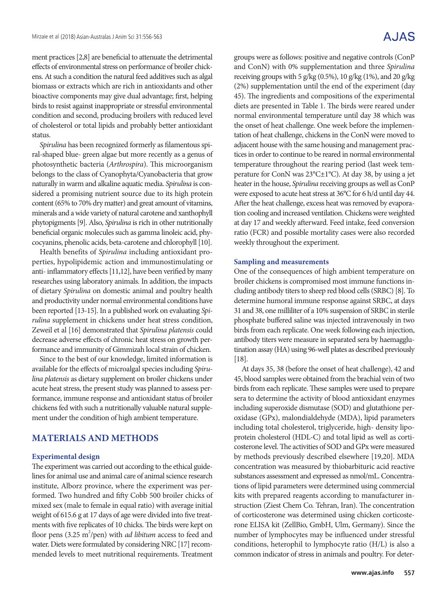A.JAS

ment practices [2,8] are beneficial to attenuate the detrimental effects of environmental stress on performance of broiler chickens. At such a condition the natural feed additives such as algal biomass or extracts which are rich in antioxidants and other bioactive components may give dual advantage; first, helping birds to resist against inappropriate or stressful environmental condition and second, producing broilers with reduced level of cholesterol or total lipids and probably better antioxidant status.

*Spirulina* has been recognized formerly as filamentous spiral-shaped blue- green algae but more recently as a genus of photosynthetic bacteria (*Arthrospira*). This microorganism belongs to the class of Cyanophyta/Cyanobacteria that grow naturally in warm and alkaline aquatic media. *Spirulina* is considered a promising nutrient source due to its high protein content (65% to 70% dry matter) and great amount of vitamins, minerals and a wide variety of natural carotene and xanthophyll phytopigments [9]. Also, *Spirulina* is rich in other nutritionally beneficial organic molecules such as gamma linoleic acid, phycocyanins, phenolic acids, beta-carotene and chlorophyll [10].

Health benefits of *Spirulina* including antioxidant properties, hypolipidemic action and immunostimulating or anti- inflammatory effects [11,12], have been verified by many researches using laboratory animals. In addition, the impacts of dietary *Spirulina* on domestic animal and poultry health and productivity under normal environmental conditions have been reported [13-15]. In a published work on evaluating *Spirulina* supplement in chickens under heat stress condition, Zeweil et al [16] demonstrated that *Spirulina platensis* could decrease adverse effects of chronic heat stress on growth performance and immunity of Gimmizah local strain of chicken.

Since to the best of our knowledge, limited information is available for the effects of microalgal species including *Spirulina platensis* as dietary supplement on broiler chickens under acute heat stress, the present study was planned to assess performance, immune response and antioxidant status of broiler chickens fed with such a nutritionally valuable natural supplement under the condition of high ambient temperature.

### **MATERIALS AND METHODS**

#### **Experimental design**

The experiment was carried out according to the ethical guidelines for animal use and animal care of animal science research institute, Alborz province, where the experiment was performed. Two hundred and fifty Cobb 500 broiler chicks of mixed sex (male to female in equal ratio) with average initial weight of 615.6 g at 17 days of age were divided into five treatments with five replicates of 10 chicks. The birds were kept on floor pens (3.25 m<sup>2</sup>/pen) with *ad libitum* access to feed and water. Diets were formulated by considering NRC [17] recommended levels to meet nutritional requirements. Treatment

groups were as follows: positive and negative controls (ConP and ConN) with 0% supplementation and three *Spirulina* receiving groups with 5 g/kg  $(0.5\%)$ , 10 g/kg  $(1\%)$ , and 20 g/kg (2%) supplementation until the end of the experiment (day 45). The ingredients and compositions of the experimental diets are presented in Table 1. The birds were reared under normal environmental temperature until day 38 which was the onset of heat challenge. One week before the implementation of heat challenge, chickens in the ConN were moved to adjacent house with the same housing and management practices in order to continue to be reared in normal environmental temperature throughout the rearing period (last week temperature for ConN was 23°C±1°C). At day 38, by using a jet heater in the house, *Spirulina* receiving groups as well as ConP were exposed to acute heat stress at 36°C for 6 h/d until day 44. After the heat challenge, excess heat was removed by evaporation cooling and increased ventilation. Chickens were weighted at day 17 and weekly afterward. Feed intake, feed conversion ratio (FCR) and possible mortality cases were also recorded weekly throughout the experiment.

#### **Sampling and measurements**

One of the consequences of high ambient temperature on broiler chickens is compromised most immune functions including antibody titers to sheep red blood cells (SRBC) [8]. To determine humoral immune response against SRBC, at days 31 and 38, one milliliter of a 10% suspension of SRBC in sterile phosphate buffered saline was injected intravenously in two birds from each replicate. One week following each injection, antibody titers were measure in separated sera by haemagglutination assay (HA) using 96-well plates as described previously [18].

At days 35, 38 (before the onset of heat challenge), 42 and 45, blood samples were obtained from the brachial vein of two birds from each replicate. These samples were used to prepare sera to determine the activity of blood antioxidant enzymes including superoxide dismutase (SOD) and glutathione peroxidase (GPx), malondialdehyde (MDA), lipid parameters including total cholesterol, triglyceride, high- density lipoprotein cholesterol (HDL-C) and total lipid as well as corticosterone level. The activities of SOD and GPx were measured by methods previously described elsewhere [19,20]. MDA concentration was measured by thiobarbituric acid reactive substances assessment and expressed as nmol/mL. Concentrations of lipid parameters were determined using commercial kits with prepared reagents according to manufacturer instruction (Ziest Chem Co. Tehran, Iran). The concentration of corticosterone was determined using chicken corticosterone ELISA kit (ZellBio, GmbH, Ulm, Germany). Since the number of lymphocytes may be influenced under stressful conditions, heterophil to lymphocyte ratio (H/L) is also a common indicator of stress in animals and poultry. For deter-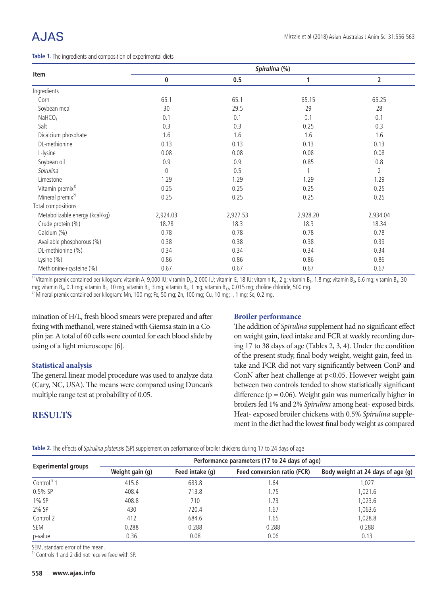# A.JAS

**Table 1.** The ingredients and composition of experimental diets

|                                |           |          | Spirulina (%) |                |
|--------------------------------|-----------|----------|---------------|----------------|
| Item                           | $\pmb{0}$ | 0.5      | 1             | $\overline{2}$ |
| Ingredients                    |           |          |               |                |
| Corn                           | 65.1      | 65.1     | 65.15         | 65.25          |
| Soybean meal                   | 30        | 29.5     | 29            | 28             |
| NAHCO <sub>3</sub>             | 0.1       | 0.1      | 0.1           | 0.1            |
| Salt                           | 0.3       | 0.3      | 0.25          | 0.3            |
| Dicalcium phosphate            | 1.6       | 1.6      | 1.6           | 1.6            |
| DL-methionine                  | 0.13      | 0.13     | 0.13          | 0.13           |
| L-lysine                       | 0.08      | 0.08     | 0.08          | 0.08           |
| Soybean oil                    | 0.9       | 0.9      | 0.85          | 0.8            |
| Spirulina                      | $\theta$  | 0.5      |               | $\overline{2}$ |
| Limestone                      | 1.29      | 1.29     | 1.29          | 1.29           |
| Vitamin premix <sup>1)</sup>   | 0.25      | 0.25     | 0.25          | 0.25           |
| Mineral premix <sup>2)</sup>   | 0.25      | 0.25     | 0.25          | 0.25           |
| Total compositions             |           |          |               |                |
| Metabolizable energy (kcal/kg) | 2,924.03  | 2,927.53 | 2,928.20      | 2,934.04       |
| Crude protein (%)              | 18.28     | 18.3     | 18.3          | 18.34          |
| Calcium (%)                    | 0.78      | 0.78     | 0.78          | 0.78           |
| Available phosphorous (%)      | 0.38      | 0.38     | 0.38          | 0.39           |
| DL-methionine (%)              | 0.34      | 0.34     | 0.34          | 0.34           |
| Lysine (%)                     | 0.86      | 0.86     | 0.86          | 0.86           |
| Methionine+cysteine (%)        | 0.67      | 0.67     | 0.67          | 0.67           |

<sup>1)</sup> Vitamin premix contained per kilogram: vitamin A, 9,000 IU; vitamin D<sub>3</sub>, 2,000 IU; vitamin E, 18 IU; vitamin K<sub>3</sub>, 2 g; vitamin B<sub>1</sub>, 1.8 mg; vitamin B<sub>2</sub>, 6.6 mg; vitamin B<sub>3</sub>, 30<br>mg; vitamin B<sub>4</sub>, 0.1 mg; vitamin

<sup>2)</sup> Mineral premix contained per kilogram: Mn, 100 mg; Fe, 50 mg; Zn, 100 mg; Cu, 10 mg; I, 1 mg; Se, 0.2 mg.

mination of H/L, fresh blood smears were prepared and after fixing with methanol, were stained with Giemsa stain in a Coplin jar. A total of 60 cells were counted for each blood slide by using of a light microscope [6].

#### **Statistical analysis**

The general linear model procedure was used to analyze data (Cary, NC, USA). The means were compared using Duncan's multiple range test at probability of 0.05.

### **RESULTS**

#### **Broiler performance**

The addition of *Spirulina* supplement had no significant effect on weight gain, feed intake and FCR at weekly recording during 17 to 38 days of age (Tables 2, 3, 4). Under the condition of the present study, final body weight, weight gain, feed intake and FCR did not vary significantly between ConP and ConN after heat challenge at p<0.05. However weight gain between two controls tended to show statistically significant difference ( $p = 0.06$ ). Weight gain was numerically higher in broilers fed 1% and 2% *Spirulina* among heat- exposed birds. Heat- exposed broiler chickens with 0.5% *Spirulina* supplement in the diet had the lowest final body weight as compared

|  |  | Table 2. The effects of Spirulina platensis (SP) supplement on performance of broiler chickens during 17 to 24 days of age |  |  |  |
|--|--|----------------------------------------------------------------------------------------------------------------------------|--|--|--|
|  |  |                                                                                                                            |  |  |  |

|                            | Performance parameters (17 to 24 days of age) |                 |                                    |                                   |  |  |  |  |  |  |
|----------------------------|-----------------------------------------------|-----------------|------------------------------------|-----------------------------------|--|--|--|--|--|--|
| <b>Experimental groups</b> | Weight gain (g)                               | Feed intake (q) | <b>Feed conversion ratio (FCR)</b> | Body weight at 24 days of age (g) |  |  |  |  |  |  |
| Control <sup>1)</sup> 1    | 415.6                                         | 683.8           | .64                                | 1,027                             |  |  |  |  |  |  |
| $0.5%$ SP                  | 408.4                                         | 713.8           | 1.75                               | 1,021.6                           |  |  |  |  |  |  |
| 1% SP                      | 408.8                                         | 710             | 1.73                               | 1,023.6                           |  |  |  |  |  |  |
| 2% SP                      | 430                                           | 720.4           | 1.67                               | 1,063.6                           |  |  |  |  |  |  |
| Control 2                  | 412                                           | 684.6           | 1.65                               | 1,028.8                           |  |  |  |  |  |  |
| SEM                        | 0.288                                         | 0.288           | 0.288                              | 0.288                             |  |  |  |  |  |  |
| p-value                    | 0.36                                          | 0.08            | 0.06                               | 0.13                              |  |  |  |  |  |  |

SEM, standard error of the mean.

<sup>1)</sup> Controls 1 and 2 did not receive feed with SP.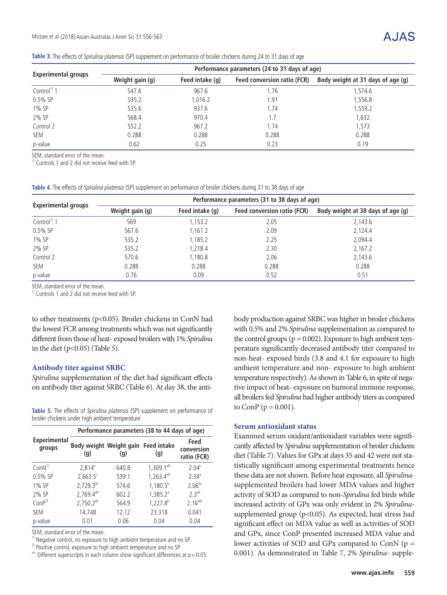#### **Table 3.** The effects of Spirulina platensis (SP) supplement on performance of broiler chickens during 24 to 31 days of age

|                            | Performance parameters (24 to 31 days of age) |                 |                             |                                   |  |  |  |  |  |
|----------------------------|-----------------------------------------------|-----------------|-----------------------------|-----------------------------------|--|--|--|--|--|
| <b>Experimental groups</b> | Weight gain (g)                               | Feed intake (q) | Feed conversion ratio (FCR) | Body weight at 31 days of age (g) |  |  |  |  |  |
| Control <sup>1)</sup> 1    | 547.6                                         | 967.6           | 1.76                        | 1,574.6                           |  |  |  |  |  |
| $0.5\%$ SP                 | 535.2                                         | 1,016.2         | 1.91                        | 1,556.8                           |  |  |  |  |  |
| 1% SP                      | 535.6                                         | 937.6           | 1.74                        | 1,559.2                           |  |  |  |  |  |
| 2% SP                      | 568.4                                         | 970.4           | .7                          | 1,632                             |  |  |  |  |  |
| Control 2                  | 552.2                                         | 967.2           | 1.74                        | 1.573                             |  |  |  |  |  |
| <b>SEM</b>                 | 0.288                                         | 0.288           | 0.288                       | 0.288                             |  |  |  |  |  |
| p-value                    | 0.62                                          | 0.25            | 0.23                        | 0.19                              |  |  |  |  |  |

SEM, standard error of the mean.

 $1)$  Controls 1 and 2 did not receive feed with SP.

**Table 4.** The effects of Spirulina platensis (SP) supplement on performance of broiler chickens during 31 to 38 days of age

|                            | Performance parameters (31 to 38 days of age) |                 |                                    |                                   |  |  |  |  |  |  |
|----------------------------|-----------------------------------------------|-----------------|------------------------------------|-----------------------------------|--|--|--|--|--|--|
| <b>Experimental groups</b> | Weight gain (g)                               | Feed intake (q) | <b>Feed conversion ratio (FCR)</b> | Body weight at 38 days of age (g) |  |  |  |  |  |  |
| Control <sup>1)</sup> 1    | 569                                           | 1,153.2         | 2.05                               | 2,143.6                           |  |  |  |  |  |  |
| $0.5\%$ SP                 | 567.6                                         | 1,161.2         | 2.09                               | 2,124.4                           |  |  |  |  |  |  |
| 1% SP                      | 535.2                                         | 1,185.2         | 2.25                               | 2,094.4                           |  |  |  |  |  |  |
| 2% SP                      | 535.2                                         | 1,218.4         | 2.30                               | 2,167.2                           |  |  |  |  |  |  |
| Control 2                  | 570.6                                         | 1,180.8         | 2.06                               | 2,143.6                           |  |  |  |  |  |  |
| SEM                        | 0.288                                         | 0.288           | 0.288                              | 0.288                             |  |  |  |  |  |  |
| p-value                    | 0.76                                          | 0.09            | 0.52                               | 0.51                              |  |  |  |  |  |  |

SEM, standard error of the mean.

 $<sup>1)</sup>$  Controls 1 and 2 did not receive feed with SP.</sup>

to other treatments (p<0.05). Broiler chickens in ConN had the lowest FCR among treatments which was not significantly different from those of heat- exposed broilers with 1% *Spirulina* in the diet ( $p<0.05$ ) (Table 5).

#### **Antibody titer against SRBC**

*Spirulina* supplementation of the diet had significant effects on antibody titer against SRBC (Table 6). At day 38, the anti-

**Table 5.** The effects of Spirulina platensis (SP) supplement on performance of broiler chickens under high ambient temperature

|                               | Performance parameters (38 to 44 days of age) |                                            |                       |                                   |  |  |  |  |  |  |
|-------------------------------|-----------------------------------------------|--------------------------------------------|-----------------------|-----------------------------------|--|--|--|--|--|--|
| <b>Experimental</b><br>groups | $\left( q\right)$                             | Body weight Weight gain Feed intake<br>(g) | (q)                   | Feed<br>conversion<br>ratio (FCR) |  |  |  |  |  |  |
| ConN <sup>1</sup>             | $2.814^a$                                     | 640.8                                      | $1,309.1^{ab}$        | 2.04 <sup>c</sup>                 |  |  |  |  |  |  |
| $0.5%$ SP                     | $2,663.5^{\circ}$                             | 539.1                                      | 1,263.4 <sup>ab</sup> | $2.34^{a}$                        |  |  |  |  |  |  |
| 1% SP                         | $2,729.3^{bc}$                                | 574.6                                      | $1,180.5^b$           | $2.06^{bc}$                       |  |  |  |  |  |  |
| 2% SP                         | 2,769.4 <sup>ab</sup>                         | 602.2                                      | $1,385.2^a$           | 2.3 <sup>ab</sup>                 |  |  |  |  |  |  |
| ConP <sup>2</sup>             | $2,750.2^{ab}$                                | 564.9                                      | $1,227.8^{b}$         | $2.16$ <sup>abc</sup>             |  |  |  |  |  |  |
| <b>SFM</b>                    | 14.748                                        | 12.12                                      | 23.318                | 0.041                             |  |  |  |  |  |  |
| p-value                       | 0.01                                          | 0.06                                       | 0.04                  | 0.04                              |  |  |  |  |  |  |

SEM, standard error of the mean.

<sup>1)</sup> Negative control, no exposure to high ambient temperature and no SP.

 $2)$  Positive control, exposure to high ambient temperature and no SP.

 $a-c$  Different superscripts in each column show significant differences at  $p < 0.05$ .

body production against SRBC was higher in broiler chickens with 0.5% and 2% *Spirulina* supplementation as compared to the control groups ( $p = 0.002$ ). Exposure to high ambient temperature significantly decreased antibody titer compared to non-heat- exposed birds (3.8 and 4.1 for exposure to high ambient temperature and non- exposure to high ambient temperature respectively). As shown in Table 6, in spite of negative impact of heat- exposure on humoral immune response, all broilers fed *Spirulina* had higher antibody titers as compared to ConP ( $p = 0.001$ ).

#### **Serum antioxidant status**

Examined serum oxidant/antioxidant variables were significantly affected by *Spirulina* supplementation of broiler chickens diet (Table 7). Values for GPx at days 35 and 42 were not statistically significant among experimental treatments hence these data are not shown. Before heat exposure, all *Spirulina*supplemented broilers had lower MDA values and higher activity of SOD as compared to non-*Spirulina* fed birds while increased activity of GPx was only evident in 2% *Spirulina*supplemented group (p<0.05). As expected, heat stress had significant effect on MDA value as well as activities of SOD and GPx, since ConP presented increased MDA value and lower activities of SOD and GPx compared to ConN (p = 0.001). As demonstrated in Table 7, 2% *Spirulina*- supple-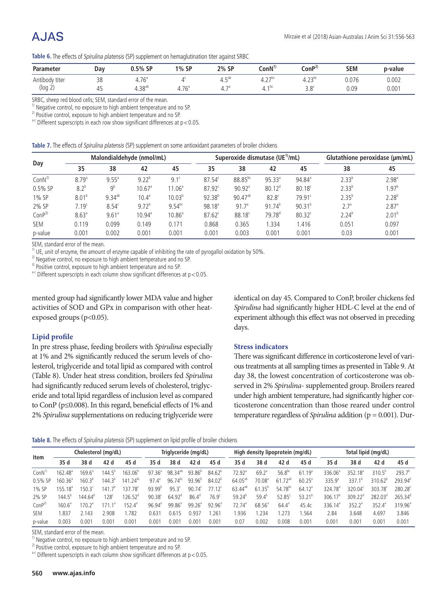# A.JAS

| Table 6. The effects of Spirulina platensis (SP) supplement on hemaglutination titer against SRBC |  |  |
|---------------------------------------------------------------------------------------------------|--|--|
|                                                                                                   |  |  |

| <b>Parameter</b> | Day      | SP ،<br>$0.5\%$           | 1% SP                                 | 2% SP             | $\text{ConN}^{\text{D}}$ | $\mathsf{con} \mathsf{P}^2$<br>$\sim$ $\sim$ | SEM<br>the contract of the contract of | p-value |
|------------------|----------|---------------------------|---------------------------------------|-------------------|--------------------------|----------------------------------------------|----------------------------------------|---------|
| Antibody titer   | າດ<br>JU | 76 <sup>3</sup><br>7. / U |                                       | — du<br>−. J      | $\lnot$<br>⊣۰ –          | $\sim$<br>ر ے.⊤                              | 0.076                                  | 0.002   |
| $(log \angle)$   |          | $+0.38^{ab}$              | 76 <sup>5</sup><br><u>.</u><br>7. / U | $70^{\circ}$<br>. | $\sim$<br>. .            | $\Omega$<br>J.C                              | $\cap$<br>U.UJ                         | 0.001   |

SRBC, sheep red blood cells; SEM, standard error of the mean.

<sup>1)</sup> Negative control, no exposure to high ambient temperature and no SP.

<sup>2)</sup> Positive control, exposure to high ambient temperature and no SP.

 $a-c$  Different superscripts in each row show significant differences at  $p < 0.05$ .

|  |  | Table 7. The effects of Spirulina platensis (SP) supplement on some antioxidant parameters of broiler chickens |  |
|--|--|----------------------------------------------------------------------------------------------------------------|--|
|--|--|----------------------------------------------------------------------------------------------------------------|--|

|                   |                   |                     | Malondialdehyde (nmol/mL) |                    |                    | Superoxide dismutase (UE <sup>1</sup> /mL) |                    | Glutathione peroxidase (µm/mL) |                  |                   |
|-------------------|-------------------|---------------------|---------------------------|--------------------|--------------------|--------------------------------------------|--------------------|--------------------------------|------------------|-------------------|
| Day               | 35                | 38                  | 42                        | 45                 | 35                 | 38                                         | 42                 | 45                             | 38               | 45                |
| ConN <sup>2</sup> | 8.79 <sup>a</sup> | $9.55^{\circ}$      | $9.22^{b}$                | $9.1^{\circ}$      | $87.54^{\circ}$    | $88.85^{bc}$                               | $95.33^{a}$        | $94.84$ <sup>a</sup>           | $2.33^{b}$       | 2.98 <sup>a</sup> |
| $0.5\%$ SP        | 8.2 <sup>b</sup>  | Q <sub>p</sub>      | 10.67 <sup>a</sup>        | 11.06 <sup>a</sup> | 87.92 <sup>c</sup> | $90.92$ <sup>a</sup>                       | 80.12 <sup>d</sup> | 80.18 <sup>c</sup>             | $2.33^{b}$       | 1.97 <sup>b</sup> |
| 1% SP             | 8.01 <sup>b</sup> | $9.34^{ab}$         | $10.4^a$                  | $10.03^{b}$        | $92.38^{b}$        | $90.47^{ab}$                               | 82.8 <sup>c</sup>  | $79.91^c$                      | $2.35^{b}$       | $2.28^{b}$        |
| 2% SP             | 7.19 <sup>c</sup> | 8.54 <sup>c</sup>   | $9.72^{b}$                | $9.54^{bc}$        | 98.18 <sup>a</sup> | 91.7 <sup>a</sup>                          | $91.74^{b}$        | $90.31^{b}$                    | 2.7 <sup>a</sup> | 2.87 <sup>a</sup> |
| ConP <sup>3</sup> | $8.63^{a}$        | $9.61$ <sup>a</sup> | $10.94^{a}$               | $10.86^a$          | $87.62^c$          | $88.18^c$                                  | $79.78^{\circ}$    | $80.32^c$                      | $2.24^{b}$       | $2.01^{b}$        |
| <b>SEM</b>        | 0.119             | 0.099               | 0.149                     | 0.171              | 0.868              | 0.365                                      | .334               | 1.416                          | 0.051            | 0.097             |
| p-value           | 0.001             | 0.002               | 0.001                     | 0.001              | 0.001              | 0.003                                      | 0.001              | 0.001                          | 0.03             | 0.001             |

SEM, standard error of the mean.

 $<sup>1</sup>$  UE, unit of enzyme, the amount of enzyme capable of inhibiting the rate of pyrogallol oxidation by 50%.</sup>

 $2)$  Negative control, no exposure to high ambient temperature and no SP.

<sup>3)</sup> Positive control, exposure to high ambient temperature and no SP.

 $a-c$  Different superscripts in each column show significant differences at  $p < 0.05$ .

mented group had significantly lower MDA value and higher activities of SOD and GPx in comparison with other heatexposed groups ( $p<0.05$ ).

#### **Lipid profile**

In pre stress phase, feeding broilers with *Spirulina* especially at 1% and 2% significantly reduced the serum levels of cholesterol, triglyceride and total lipid as compared with control (Table 8). Under heat stress condition, broilers fed *Spirulina* had significantly reduced serum levels of cholesterol, triglyceride and total lipid regardless of inclusion level as compared to ConP (p≤0.008). In this regard, beneficial effects of 1% and 2% *Spirulina* supplementations on reducing triglyceride were identical on day 45. Compared to ConP, broiler chickens fed *Spirulina* had significantly higher HDL-C level at the end of experiment although this effect was not observed in preceding days.

#### **Stress indicators**

There was significant difference in corticosterone level of various treatments at all sampling times as presented in Table 9. At day 38, the lowest concentration of corticosterone was observed in 2% *Spirulina*- supplemented group. Broilers reared under high ambient temperature, had significantly higher corticosterone concentration than those reared under control temperature regardless of *Spirulina* addition (p = 0.001). Dur-

**Table 8.** The effects of Spirulina platensis (SP) supplement on lipid profile of broiler chickens

| Item              | Cholesterol (mg/dL) |                 |                    | Triglyceride (mg/dL) |                 |                     |                    | High density lipoprotein (mg/dL) |                     |                    | Total lipid (mg/dL) |                    |                     |                        |                  |                     |
|-------------------|---------------------|-----------------|--------------------|----------------------|-----------------|---------------------|--------------------|----------------------------------|---------------------|--------------------|---------------------|--------------------|---------------------|------------------------|------------------|---------------------|
|                   | 35 d                | 38 d            | 42 d               | 45 d                 | 35 d            | 38 d                | 42 d               | 45 d                             | 35 d                | 38 d               | 42 d                | 45 d               | 35 d                | 38 d                   | 42 d             | 45 d                |
| ConN              | 162.48 <sup>a</sup> | $169.6^{\circ}$ | $144.5^{\circ}$    | 163.06 <sup>b</sup>  | $97.36^{\circ}$ | 98.34 <sup>ab</sup> | $93.86^{\circ}$    | 84.62 <sup>b</sup>               | 72.92 <sup>a</sup>  | $69.2^{\circ}$     | $56.8^{bc}$         | 61.19 <sup>a</sup> | 336.06 <sup>a</sup> | 352<br>18 <sup>a</sup> | $310.5^{\circ}$  | 293.7 <sup>b</sup>  |
| $0.5%$ SP         | 160.36ª             | $160.3^{\circ}$ | $144.3^{b}$        | $141.24^{bc}$        | $97.4^{\circ}$  | $96.74^{bc}$        | $93.96^{b}$        | 84.02 <sup>b</sup>               | $64.05^{ab}$        | 70.08 <sup>a</sup> | $61.72^{ab}$        | $60.25^{\circ}$    | 335.9 <sup>a</sup>  | 337.1 <sup>b</sup>     | $310.62^{b}$     | 293.94 <sup>b</sup> |
| 1% SP             | $155.18^{a}$        | $150.3^{\circ}$ | 141.7 <sup>b</sup> | $137.78^c$           | $93.99^{b}$     | $95.3^{\circ}$      | 90.74c             | 77.12c                           | 63.44 <sup>ab</sup> | $61.35^{b}$        | 54.78 <sup>bc</sup> | 64.12 <sup>a</sup> | $324.78^{a}$        | $320.04^{\circ}$       | $303.78^{\circ}$ | 280.28 <sup>c</sup> |
| 2% SP             | $144.5^{\circ}$     | $144.64^\circ$  | $128^{\circ}$      | $126.52^{\circ}$     | $90.38^{\circ}$ | $64.92^{\circ}$     | $86.4^{\circ}$     | 76.9 <sup>c</sup>                | $59.24^{b}$         | $59.4^{\circ}$     | $52.85^{\circ}$     | $53.21^{b}$        | 306.17 <sup>b</sup> | $309.22^{\circ}$       | $282.03^{\circ}$ | $265.34^{\circ}$    |
| ConP <sup>2</sup> | $160.6^{\circ}$     | $170.2^{\circ}$ | 171                | $152.4^{\circ}$      | $96.94^{\circ}$ | $99.86^{\circ}$     | 99.26 <sup>a</sup> | 92.96 <sup>a</sup>               | $72.74^{\circ}$     | $68.56^{\circ}$    | $64.4^{\circ}$      | 45.4c              | 336.14 <sup>a</sup> | 352.2 <sup>a</sup>     | $352.4^a$        | $319.96^{\circ}$    |
| SEM               | .837                | 2.143           | 2.908              | .782                 | 0.631           | 0.615               | 0.937              | .261                             | .936                | .234               | .273                | .564               | 2.84                | 3.648                  | 4.697            | 3.846               |
| p-value           | 0.003               | 0.001           | 0.001              | 0.001                | 0.001           | 0.001               | 0.00.              | 0.001                            | 0.07                | 0.002              | 0.008               | 0.001              | 0.001               | 0.001                  | 0.001            | 0.001               |

SEM, standard error of the mean.

<sup>1)</sup> Negative control, no exposure to high ambient temperature and no SP.

 $2)$  Positive control, exposure to high ambient temperature and no SP.

 $a-c$  Different superscripts in each column show significant differences at  $p < 0.05$ .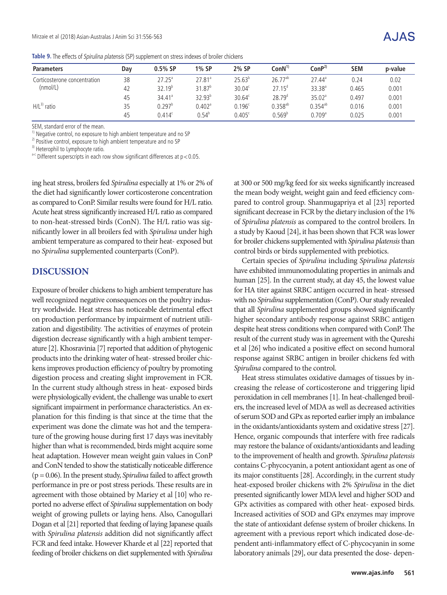| <b>Parameters</b>            | Day | $0.5%$ SP            | 1% SP              | 2% SP              | $ConN^{1)}$        | ConP <sup>2</sup>    | <b>SEM</b> | p-value |
|------------------------------|-----|----------------------|--------------------|--------------------|--------------------|----------------------|------------|---------|
| Corticosterone concentration | 38  | $27.25^{\circ}$      | 27.81 <sup>a</sup> | $25.63^{\circ}$    | $26.77^{ab}$       | $27.44^{\circ}$      | 0.24       | 0.02    |
| (mmol/L)                     | 42  | $32.19^{b}$          | $31.87^{b}$        | 30.04 <sup>c</sup> | $27.15^{\circ}$    | $33.38^{a}$          | 0.465      | 0.001   |
|                              | 45  | $34.41$ <sup>a</sup> | $32.93^{b}$        | $30.64^c$          | 28.79 <sup>d</sup> | 35.02 <sup>a</sup>   | 0.497      | 0.001   |
| $H/L^{3)}$ ratio             | 35  | $0.297^{\rm b}$      | $0.402^{\circ}$    | 0.196 <sup>c</sup> | $0.358^{ab}$       | $0.354^{ab}$         | 0.016      | 0.001   |
|                              | 45  | $0.414^c$            | $0.54^b$           | $0.405^{\circ}$    | 0.569 <sup>b</sup> | $0.709$ <sup>a</sup> | 0.025      | 0.001   |

SEM, standard error of the mean.

<sup>1)</sup> Negative control, no exposure to high ambient temperature and no SP

<sup>2)</sup> Positive control, exposure to high ambient temperature and no SP

<sup>3)</sup> Heterophil to Lymphocyte ratio.

 $a-c$  Different superscripts in each row show significant differences at  $p < 0.05$ .

ing heat stress, broilers fed *Spirulina* especially at 1% or 2% of the diet had significantly lower corticosterone concentration as compared to ConP. Similar results were found for H/L ratio. Acute heat stress significantly increased H/L ratio as compared to non-heat-stressed birds (ConN). The H/L ratio was significantly lower in all broilers fed with *Spirulina* under high ambient temperature as compared to their heat- exposed but no *Spirulina* supplemented counterparts (ConP).

### **DISCUSSION**

Exposure of broiler chickens to high ambient temperature has well recognized negative consequences on the poultry industry worldwide. Heat stress has noticeable detrimental effect on production performance by impairment of nutrient utilization and digestibility. The activities of enzymes of protein digestion decrease significantly with a high ambient temperature [2]. Khosravinia [7] reported that addition of phytogenic products into the drinking water of heat- stressed broiler chickens improves production efficiency of poultry by promoting digestion process and creating slight improvement in FCR. In the current study although stress in heat- exposed birds were physiologically evident, the challenge was unable to exert significant impairment in performance characteristics. An explanation for this finding is that since at the time that the experiment was done the climate was hot and the temperature of the growing house during first 17 days was inevitably higher than what is recommended, birds might acquire some heat adaptation. However mean weight gain values in ConP and ConN tended to show the statistically noticeable difference (p = 0.06). In the present study, *Spirulina* failed to affect growth performance in pre or post stress periods. These results are in agreement with those obtained by Mariey et al [10] who reported no adverse effect of *Spirulina* supplementation on body weight of growing pullets or laying hens. Also, Canogullari Dogan et al [21] reported that feeding of laying Japanese quails with *Spirulina platensis* addition did not significantly affect FCR and feed intake. However Kharde et al [22] reported that feeding of broiler chickens on diet supplemented with *Spirulina*

at 300 or 500 mg/kg feed for six weeks significantly increased the mean body weight, weight gain and feed efficiency compared to control group. Shanmugapriya et al [23] reported significant decrease in FCR by the dietary inclusion of the 1% of *Spirulina platensis* as compared to the control broilers. In a study by Kaoud [24], it has been shown that FCR was lower for broiler chickens supplemented with *Spirulina platensis* than control birds or birds supplemented with prebiotics.

Certain species of *Spirulina* including *Spirulina platensis* have exhibited immunomodulating properties in animals and human [25]. In the current study, at day 45, the lowest value for HA titer against SRBC antigen occurred in heat- stressed with no *Spirulina* supplementation (ConP). Our study revealed that all *Spirulina* supplemented groups showed significantly higher secondary antibody response against SRBC antigen despite heat stress conditions when compared with ConP. The result of the current study was in agreement with the Qureshi et al [26] who indicated a positive effect on second humoral response against SRBC antigen in broiler chickens fed with *Spirulina* compared to the control.

Heat stress stimulates oxidative damages of tissues by increasing the release of corticosterone and triggering lipid peroxidation in cell membranes [1]. In heat-challenged broilers, the increased level of MDA as well as decreased activities of serum SOD and GPx as reported earlier imply an imbalance in the oxidants/antioxidants system and oxidative stress [27]. Hence, organic compounds that interfere with free radicals may restore the balance of oxidants/antioxidants and leading to the improvement of health and growth. *Spirulina platensis* contains C-phycocyanin, a potent antioxidant agent as one of its major constituents [28]. Accordingly, in the current study heat-exposed broiler chickens with 2% *Spirulina* in the diet presented significantly lower MDA level and higher SOD and GPx activities as compared with other heat- exposed birds. Increased activities of SOD and GPx enzymes may improve the state of antioxidant defense system of broiler chickens. In agreement with a previous report which indicated dose-dependent anti-inflammatory effect of C-phycocyanin in some laboratory animals [29], our data presented the dose- depen-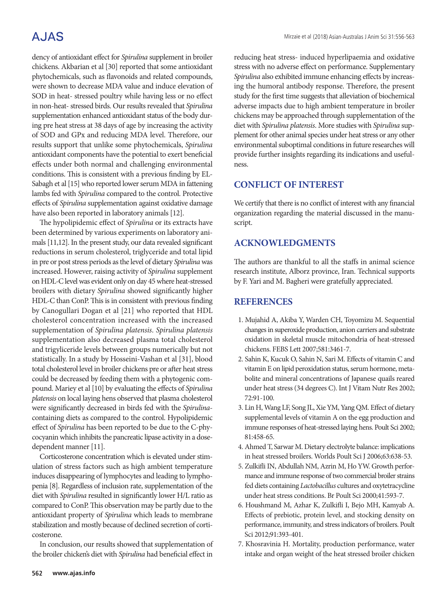# **AJAS**

dency of antioxidant effect for *Spirulina* supplement in broiler chickens. Akbarian et al [30] reported that some antioxidant phytochemicals, such as flavonoids and related compounds, were shown to decrease MDA value and induce elevation of SOD in heat- stressed poultry while having less or no effect in non-heat- stressed birds. Our results revealed that *Spirulina* supplementation enhanced antioxidant status of the body during pre heat stress at 38 days of age by increasing the activity of SOD and GPx and reducing MDA level. Therefore, our results support that unlike some phytochemicals, *Spirulina* antioxidant components have the potential to exert beneficial effects under both normal and challenging environmental conditions. This is consistent with a previous finding by EL-Sabagh et al [15] who reported lower serum MDA in fattening lambs fed with *Spirulina* compared to the control. Protective effects of *Spirulina* supplementation against oxidative damage have also been reported in laboratory animals [12].

The hypolipidemic effect of *Spirulina* or its extracts have been determined by various experiments on laboratory animals [11,12]. In the present study, our data revealed significant reductions in serum cholesterol, triglyceride and total lipid in pre or post stress periods as the level of dietary *Spirulina* was increased. However, raising activity of *Spirulina* supplement on HDL-C level was evident only on day 45 where heat-stressed broilers with dietary *Spirulina* showed significantly higher HDL-C than ConP. This is in consistent with previous finding by Canogullari Dogan et al [21] who reported that HDL cholesterol concentration increased with the increased supplementation of *Spirulina platensis*. *Spirulina platensis* supplementation also decreased plasma total cholesterol and trigyliceride levels between groups numerically but not statistically. In a study by Hosseini-Vashan et al [31], blood total cholesterol level in broiler chickens pre or after heat stress could be decreased by feeding them with a phytogenic compound. Mariey et al [10] by evaluating the effects of *Spirulina platensis* on local laying hens observed that plasma cholesterol were significantly decreased in birds fed with the *Spirulina*containing diets as compared to the control. Hypolipidemic effect of *Spirulina* has been reported to be due to the C-phycocyanin which inhibits the pancreatic lipase activity in a dosedependent manner [11].

Corticosterone concentration which is elevated under stimulation of stress factors such as high ambient temperature induces disappearing of lymphocytes and leading to lymphopenia [8]. Regardless of inclusion rate, supplementation of the diet with *Spirulina* resulted in significantly lower H/L ratio as compared to ConP. This observation may be partly due to the antioxidant property of *Spirulina* which leads to membrane stabilization and mostly because of declined secretion of corticosterone.

In conclusion, our results showed that supplementation of the broiler chicken's diet with *Spirulina* had beneficial effect in

reducing heat stress- induced hyperlipaemia and oxidative stress with no adverse effect on performance. Supplementary *Spirulina* also exhibited immune enhancing effects by increasing the humoral antibody response. Therefore, the present study for the first time suggests that alleviation of biochemical adverse impacts due to high ambient temperature in broiler chickens may be approached through supplementation of the diet with *Spirulina platensis*. More studies with *Spirulina* supplement for other animal species under heat stress or any other environmental suboptimal conditions in future researches will provide further insights regarding its indications and usefulness.

### **CONFLICT OF INTEREST**

We certify that there is no conflict of interest with any financial organization regarding the material discussed in the manuscript.

## **ACKNOWLEDGMENTS**

The authors are thankful to all the staffs in animal science research institute, Alborz province, Iran. Technical supports by F. Yari and M. Bagheri were gratefully appreciated.

## **REFERENCES**

- 1. Mujahid A, Akiba Y, Warden CH, Toyomizu M. Sequential changes in superoxide production, anion carriers and substrate oxidation in skeletal muscle mitochondria of heat-stressed chickens. FEBS Lett 2007;581:3461-7.
- 2. Sahin K, Kucuk O, Sahin N, Sari M. Effects of vitamin C and vitamin E on lipid peroxidation status, serum hormone, metabolite and mineral concentrations of Japanese quails reared under heat stress (34 degrees C). Int J Vitam Nutr Res 2002; 72:91-100.
- 3. Lin H, Wang LF, Song JL, Xie YM, Yang QM. Effect of dietary supplemental levels of vitamin A on the egg production and immune responses of heat-stressed laying hens. Poult Sci 2002; 81:458-65.
- 4. Ahmed T, Sarwar M. Dietary electrolyte balance: implications in heat stressed broilers. Worlds Poult Sci J 2006;63:638-53.
- 5. Zulkifli IN, Abdullah NM, Azrin M, Ho YW. Growth performance and immune response of two commercial broiler strains fed diets containing *Lactobacillus* cultures and oxytetracycline under heat stress conditions. Br Poult Sci 2000;41:593-7.
- 6. Houshmand M, Azhar K, Zulkifli I, Bejo MH, Kamyab A. Effects of prebiotic, protein level, and stocking density on performance, immunity, and stress indicators of broilers. Poult Sci 2012;91:393-401.
- 7. Khosravinia H. Mortality, production performance, water intake and organ weight of the heat stressed broiler chicken